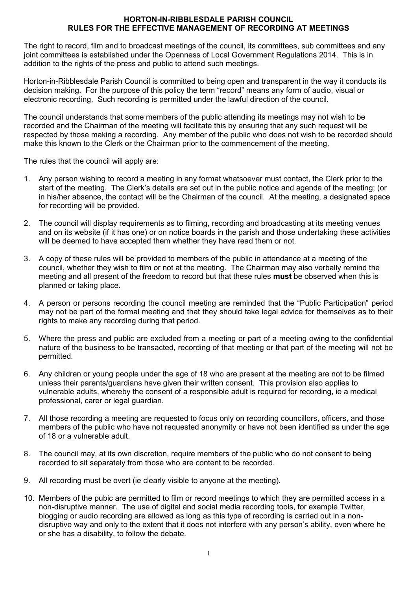## **HORTON-IN-RIBBLESDALE PARISH COUNCIL RULES FOR THE EFFECTIVE MANAGEMENT OF RECORDING AT MEETINGS**

The right to record, film and to broadcast meetings of the council, its committees, sub committees and any joint committees is established under the Openness of Local Government Regulations 2014. This is in addition to the rights of the press and public to attend such meetings.

Horton-in-Ribblesdale Parish Council is committed to being open and transparent in the way it conducts its decision making. For the purpose of this policy the term "record" means any form of audio, visual or electronic recording. Such recording is permitted under the lawful direction of the council.

The council understands that some members of the public attending its meetings may not wish to be recorded and the Chairman of the meeting will facilitate this by ensuring that any such request will be respected by those making a recording. Any member of the public who does not wish to be recorded should make this known to the Clerk or the Chairman prior to the commencement of the meeting.

The rules that the council will apply are:

- 1. Any person wishing to record a meeting in any format whatsoever must contact, the Clerk prior to the start of the meeting. The Clerk's details are set out in the public notice and agenda of the meeting; (or in his/her absence, the contact will be the Chairman of the council. At the meeting, a designated space for recording will be provided.
- 2. The council will display requirements as to filming, recording and broadcasting at its meeting venues and on its website (if it has one) or on notice boards in the parish and those undertaking these activities will be deemed to have accepted them whether they have read them or not.
- 3. A copy of these rules will be provided to members of the public in attendance at a meeting of the council, whether they wish to film or not at the meeting. The Chairman may also verbally remind the meeting and all present of the freedom to record but that these rules **must** be observed when this is planned or taking place.
- 4. A person or persons recording the council meeting are reminded that the "Public Participation" period may not be part of the formal meeting and that they should take legal advice for themselves as to their rights to make any recording during that period.
- 5. Where the press and public are excluded from a meeting or part of a meeting owing to the confidential nature of the business to be transacted, recording of that meeting or that part of the meeting will not be permitted.
- 6. Any children or young people under the age of 18 who are present at the meeting are not to be filmed unless their parents/guardians have given their written consent. This provision also applies to vulnerable adults, whereby the consent of a responsible adult is required for recording, ie a medical professional, carer or legal guardian.
- 7. All those recording a meeting are requested to focus only on recording councillors, officers, and those members of the public who have not requested anonymity or have not been identified as under the age of 18 or a vulnerable adult.
- 8. The council may, at its own discretion, require members of the public who do not consent to being recorded to sit separately from those who are content to be recorded.
- 9. All recording must be overt (ie clearly visible to anyone at the meeting).
- 10. Members of the pubic are permitted to film or record meetings to which they are permitted access in a non-disruptive manner. The use of digital and social media recording tools, for example Twitter, blogging or audio recording are allowed as long as this type of recording is carried out in a nondisruptive way and only to the extent that it does not interfere with any person's ability, even where he or she has a disability, to follow the debate.